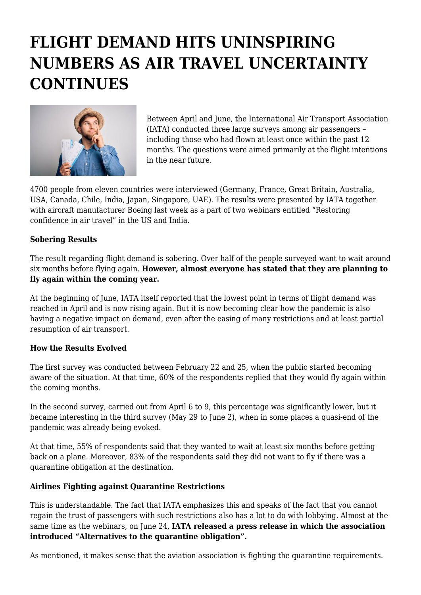## **FLIGHT DEMAND HITS UNINSPIRING NUMBERS AS AIR TRAVEL UNCERTAINTY CONTINUES**



Between April and June, the International Air Transport Association (IATA) conducted three large surveys among air passengers – including those who had flown at least once within the past 12 months. The questions were aimed primarily at the flight intentions in the near future.

4700 people from eleven countries were interviewed (Germany, France, Great Britain, Australia, USA, Canada, Chile, India, Japan, Singapore, UAE). The results were presented by IATA together with aircraft manufacturer Boeing last week as a part of two webinars entitled "Restoring confidence in air travel" in the US and India.

## **Sobering Results**

The result regarding flight demand is sobering. Over half of the people surveyed want to wait around six months before flying again. **However, almost everyone has stated that they are planning to fly again within the coming year.**

At the beginning of June, IATA itself reported that the lowest point in terms of flight demand was reached in April and is now rising again. But it is now becoming clear how the pandemic is also having a negative impact on demand, even after the easing of many restrictions and at least partial resumption of air transport.

## **How the Results Evolved**

The first survey was conducted between February 22 and 25, when the public started becoming aware of the situation. At that time, 60% of the respondents replied that they would fly again within the coming months.

In the second survey, carried out from April 6 to 9, this percentage was significantly lower, but it became interesting in the third survey (May 29 to June 2), when in some places a quasi-end of the pandemic was already being evoked.

At that time, 55% of respondents said that they wanted to wait at least six months before getting back on a plane. Moreover, 83% of the respondents said they did not want to fly if there was a quarantine obligation at the destination.

## **Airlines Fighting against Quarantine Restrictions**

This is understandable. The fact that IATA emphasizes this and speaks of the fact that you cannot regain the trust of passengers with such restrictions also has a lot to do with lobbying. Almost at the same time as the webinars, on June 24, **IATA released a press release in which the association introduced "Alternatives to the quarantine obligation".**

As mentioned, it makes sense that the aviation association is fighting the quarantine requirements.